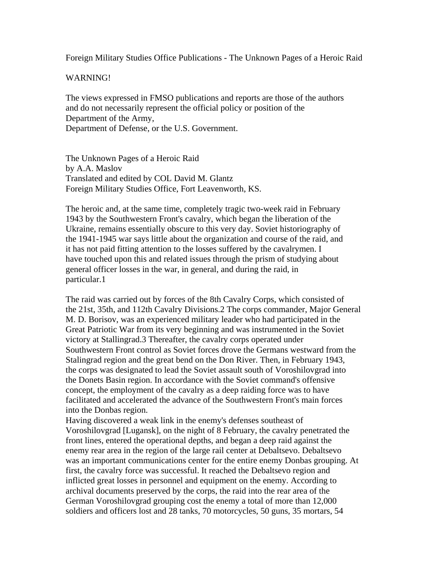Foreign Military Studies Office Publications - The Unknown Pages of a Heroic Raid

## WARNING!

The views expressed in FMSO publications and reports are those of the authors and do not necessarily represent the official policy or position of the Department of the Army, Department of Defense, or the U.S. Government.

The Unknown Pages of a Heroic Raid by A.A. Maslov Translated and edited by COL David M. Glantz Foreign Military Studies Office, Fort Leavenworth, KS.

The heroic and, at the same time, completely tragic two-week raid in February 1943 by the Southwestern Front's cavalry, which began the liberation of the Ukraine, remains essentially obscure to this very day. Soviet historiography of the 1941-1945 war says little about the organization and course of the raid, and it has not paid fitting attention to the losses suffered by the cavalrymen. I have touched upon this and related issues through the prism of studying about general officer losses in the war, in general, and during the raid, in particular.1

The raid was carried out by forces of the 8th Cavalry Corps, which consisted of the 21st, 35th, and 112th Cavalry Divisions.2 The corps commander, Major General M. D. Borisov, was an experienced military leader who had participated in the Great Patriotic War from its very beginning and was instrumented in the Soviet victory at Stallingrad.3 Thereafter, the cavalry corps operated under Southwestern Front control as Soviet forces drove the Germans westward from the Stalingrad region and the great bend on the Don River. Then, in February 1943, the corps was designated to lead the Soviet assault south of Voroshilovgrad into the Donets Basin region. In accordance with the Soviet command's offensive concept, the employment of the cavalry as a deep raiding force was to have facilitated and accelerated the advance of the Southwestern Front's main forces into the Donbas region.

Having discovered a weak link in the enemy's defenses southeast of Voroshilovgrad [Lugansk], on the night of 8 February, the cavalry penetrated the front lines, entered the operational depths, and began a deep raid against the enemy rear area in the region of the large rail center at Debaltsevo. Debaltsevo was an important communications center for the entire enemy Donbas grouping. At first, the cavalry force was successful. It reached the Debaltsevo region and inflicted great losses in personnel and equipment on the enemy. According to archival documents preserved by the corps, the raid into the rear area of the German Voroshilovgrad grouping cost the enemy a total of more than 12,000 soldiers and officers lost and 28 tanks, 70 motorcycles, 50 guns, 35 mortars, 54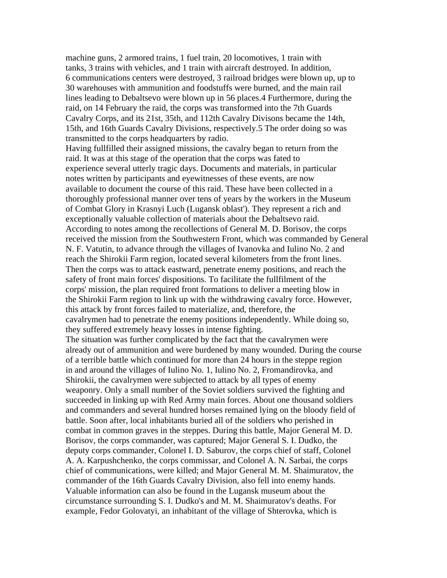machine guns, 2 armored trains, 1 fuel train, 20 locomotives, 1 train with tanks, 3 trains with vehicles, and 1 train with aircraft destroyed. In addition, 6 communications centers were destroyed, 3 railroad bridges were blown up, up to 30 warehouses with ammunition and foodstuffs were burned, and the main rail lines leading to Debaltsevo were blown up in 56 places.4 Furthermore, during the raid, on 14 February the raid, the corps was transformed into the 7th Guards Cavalry Corps, and its 21st, 35th, and 112th Cavalry Divisons became the 14th, 15th, and 16th Guards Cavalry Divisions, respectively.5 The order doing so was transmitted to the corps headquarters by radio.

Having fullfilled their assigned missions, the cavalry began to return from the raid. It was at this stage of the operation that the corps was fated to experience several utterly tragic days. Documents and materials, in particular notes written by participants and eyewitnesses of these events, are now available to document the course of this raid. These have been collected in a thoroughly professional manner over tens of years by the workers in the Museum of Combat Glory in Krasnyi Luch (Lugansk oblast'). They represent a rich and exceptionally valuable collection of materials about the Debaltsevo raid. According to notes among the recollections of General M. D. Borisov, the corps received the mission from the Southwestern Front, which was commanded by General N. F. Vatutin, to advance through the villages of Ivanovka and Iulino No. 2 and reach the Shirokii Farm region, located several kilometers from the front lines. Then the corps was to attack eastward, penetrate enemy positions, and reach the safety of front main forces' dispositions. To facilitate the fullfilment of the corps' mission, the plan required front formations to deliver a meeting blow in the Shirokii Farm region to link up with the withdrawing cavalry force. However, this attack by front forces failed to materialize, and, therefore, the cavalrymen had to penetrate the enemy positions independently. While doing so, they suffered extremely heavy losses in intense fighting.

The situation was further complicated by the fact that the cavalrymen were already out of ammunition and were burdened by many wounded. During the course of a terrible battle which continued for more than 24 hours in the steppe region in and around the villages of Iulino No. 1, Iulino No. 2, Fromandirovka, and Shirokii, the cavalrymen were subjected to attack by all types of enemy weaponry. Only a small number of the Soviet soldiers survived the fighting and succeeded in linking up with Red Army main forces. About one thousand soldiers and commanders and several hundred horses remained lying on the bloody field of battle. Soon after, local inhabitants buried all of the soldiers who perished in combat in common graves in the steppes. During this battle, Major General M. D. Borisov, the corps commander, was captured; Major General S. I. Dudko, the deputy corps commander, Colonel I. D. Saburov, the corps chief of staff, Colonel A. A. Karpushchenko, the corps commissar, and Colonel A. N. Sarbai, the corps chief of communications, were killed; and Major General M. M. Shaimuratov, the commander of the 16th Guards Cavalry Division, also fell into enemy hands. Valuable information can also be found in the Lugansk museum about the circumstance surrounding S. I. Dudko's and M. M. Shaimuratov's deaths. For example, Fedor Golovatyi, an inhabitant of the village of Shterovka, which is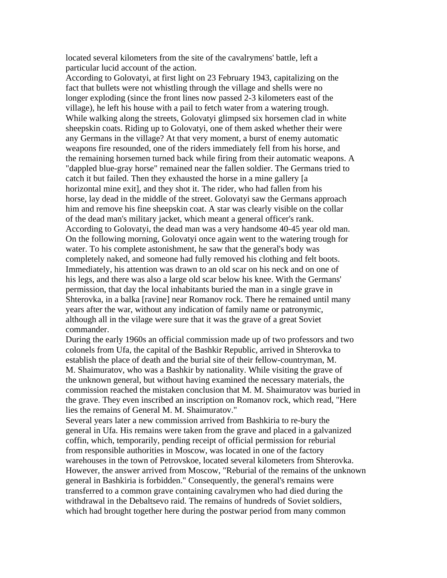located several kilometers from the site of the cavalrymens' battle, left a particular lucid account of the action.

According to Golovatyi, at first light on 23 February 1943, capitalizing on the fact that bullets were not whistling through the village and shells were no longer exploding (since the front lines now passed 2-3 kilometers east of the village), he left his house with a pail to fetch water from a watering trough. While walking along the streets, Golovatyi glimpsed six horsemen clad in white sheepskin coats. Riding up to Golovatyi, one of them asked whether their were any Germans in the village? At that very moment, a burst of enemy automatic weapons fire resounded, one of the riders immediately fell from his horse, and the remaining horsemen turned back while firing from their automatic weapons. A "dappled blue-gray horse" remained near the fallen soldier. The Germans tried to catch it but failed. Then they exhausted the horse in a mine gallery [a horizontal mine exit], and they shot it. The rider, who had fallen from his horse, lay dead in the middle of the street. Golovatyi saw the Germans approach him and remove his fine sheepskin coat. A star was clearly visible on the collar of the dead man's military jacket, which meant a general officer's rank. According to Golovatyi, the dead man was a very handsome 40-45 year old man. On the following morning, Golovatyi once again went to the watering trough for water. To his complete astonishment, he saw that the general's body was completely naked, and someone had fully removed his clothing and felt boots. Immediately, his attention was drawn to an old scar on his neck and on one of his legs, and there was also a large old scar below his knee. With the Germans' permission, that day the local inhabitants buried the man in a single grave in Shterovka, in a balka [ravine] near Romanov rock. There he remained until many years after the war, without any indication of family name or patronymic, although all in the vilage were sure that it was the grave of a great Soviet commander.

During the early 1960s an official commission made up of two professors and two colonels from Ufa, the capital of the Bashkir Republic, arrived in Shterovka to establish the place of death and the burial site of their fellow-countryman, M. M. Shaimuratov, who was a Bashkir by nationality. While visiting the grave of the unknown general, but without having examined the necessary materials, the commission reached the mistaken conclusion that M. M. Shaimuratov was buried in the grave. They even inscribed an inscription on Romanov rock, which read, "Here lies the remains of General M. M. Shaimuratov."

Several years later a new commission arrived from Bashkiria to re-bury the general in Ufa. His remains were taken from the grave and placed in a galvanized coffin, which, temporarily, pending receipt of official permission for reburial from responsible authorities in Moscow, was located in one of the factory warehouses in the town of Petrovskoe, located several kilometers from Shterovka. However, the answer arrived from Moscow, "Reburial of the remains of the unknown general in Bashkiria is forbidden." Consequently, the general's remains were transferred to a common grave containing cavalrymen who had died during the withdrawal in the Debaltsevo raid. The remains of hundreds of Soviet soldiers, which had brought together here during the postwar period from many common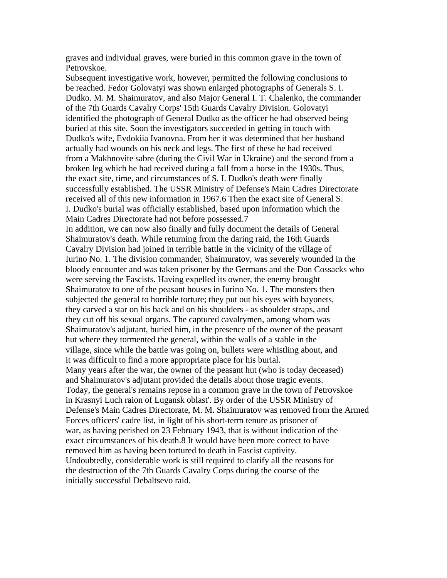graves and individual graves, were buried in this common grave in the town of Petrovskoe.

Subsequent investigative work, however, permitted the following conclusions to be reached. Fedor Golovatyi was shown enlarged photographs of Generals S. I. Dudko. M. M. Shaimuratov, and also Major General I. T. Chalenko, the commander of the 7th Guards Cavalry Corps' 15th Guards Cavalry Division. Golovatyi identified the photograph of General Dudko as the officer he had observed being buried at this site. Soon the investigators succeeded in getting in touch with Dudko's wife, Evdokiia Ivanovna. From her it was determined that her husband actually had wounds on his neck and legs. The first of these he had received from a Makhnovite sabre (during the Civil War in Ukraine) and the second from a broken leg which he had received during a fall from a horse in the 1930s. Thus, the exact site, time, and circumstances of S. I. Dudko's death were finally successfully established. The USSR Ministry of Defense's Main Cadres Directorate received all of this new information in 1967.6 Then the exact site of General S. I. Dudko's burial was officially established, based upon information which the Main Cadres Directorate had not before possessed.7

In addition, we can now also finally and fully document the details of General Shaimuratov's death. While returning from the daring raid, the 16th Guards Cavalry Division had joined in terrible battle in the vicinity of the village of Iurino No. 1. The division commander, Shaimuratov, was severely wounded in the bloody encounter and was taken prisoner by the Germans and the Don Cossacks who were serving the Fascists. Having expelled its owner, the enemy brought Shaimuratov to one of the peasant houses in Iurino No. 1. The monsters then subjected the general to horrible torture; they put out his eyes with bayonets, they carved a star on his back and on his shoulders - as shoulder straps, and they cut off his sexual organs. The captured cavalrymen, among whom was Shaimuratov's adjutant, buried him, in the presence of the owner of the peasant hut where they tormented the general, within the walls of a stable in the village, since while the battle was going on, bullets were whistling about, and it was difficult to find a more appropriate place for his burial. Many years after the war, the owner of the peasant hut (who is today deceased) and Shaimuratov's adjutant provided the details about those tragic events. Today, the general's remains repose in a common grave in the town of Petrovskoe in Krasnyi Luch raion of Lugansk oblast'. By order of the USSR Ministry of Defense's Main Cadres Directorate, M. M. Shaimuratov was removed from the Armed Forces officers' cadre list, in light of his short-term tenure as prisoner of war, as having perished on 23 February 1943, that is without indication of the exact circumstances of his death.8 It would have been more correct to have removed him as having been tortured to death in Fascist captivity. Undoubtedly, considerable work is still required to clarify all the reasons for the destruction of the 7th Guards Cavalry Corps during the course of the initially successful Debaltsevo raid.